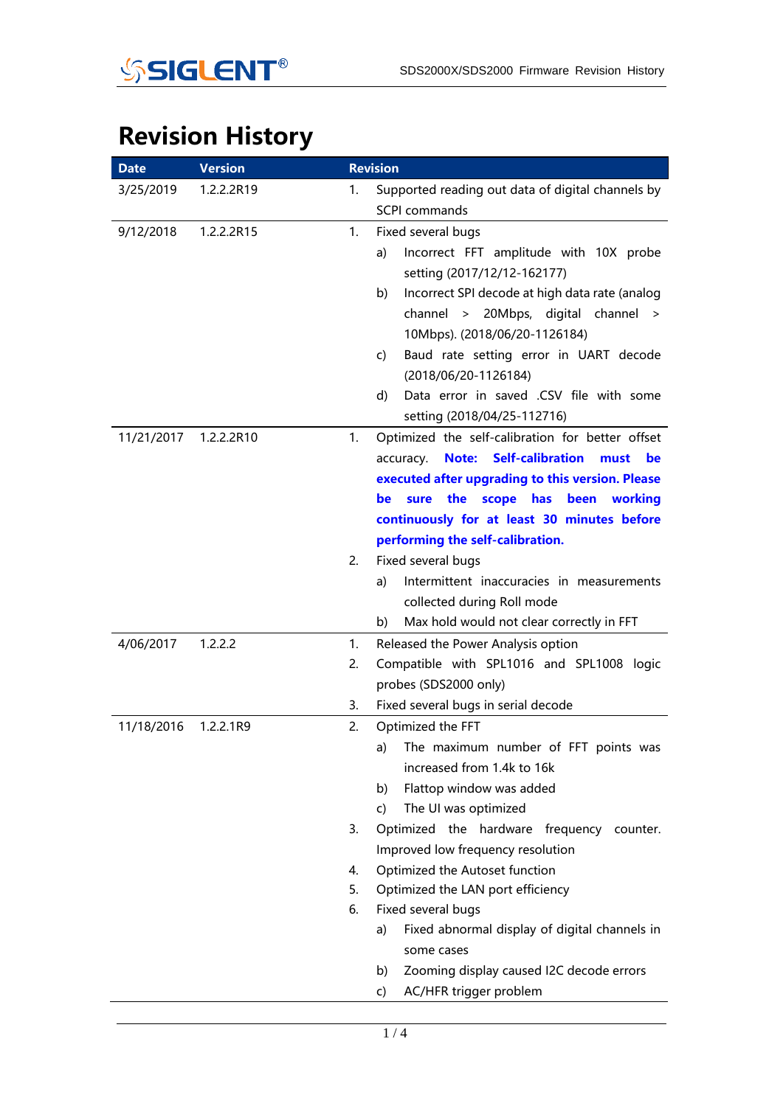

## **Revision History**

| <b>Date</b> | <b>Version</b> |          | <b>Revision</b>                                                                                                                                                                                                                                                                                                                                                                                                                                                           |
|-------------|----------------|----------|---------------------------------------------------------------------------------------------------------------------------------------------------------------------------------------------------------------------------------------------------------------------------------------------------------------------------------------------------------------------------------------------------------------------------------------------------------------------------|
| 3/25/2019   | 1.2.2.2R19     | 1.       | Supported reading out data of digital channels by<br><b>SCPI</b> commands                                                                                                                                                                                                                                                                                                                                                                                                 |
| 9/12/2018   | 1.2.2.2R15     | 1.       | Fixed several bugs<br>Incorrect FFT amplitude with 10X probe<br>a)<br>setting (2017/12/12-162177)<br>Incorrect SPI decode at high data rate (analog<br>b)<br>channel > 20Mbps, digital channel ><br>10Mbps). (2018/06/20-1126184)<br>Baud rate setting error in UART decode<br>C)<br>(2018/06/20-1126184)<br>Data error in saved .CSV file with some<br>d)<br>setting (2018/04/25-112716)                                                                                 |
| 11/21/2017  | 1.2.2.2R10     | 1.<br>2. | Optimized the self-calibration for better offset<br><b>Self-calibration</b><br>Note:<br><b>be</b><br>accuracy.<br>must<br>executed after upgrading to this version. Please<br>the<br>scope has been<br>working<br>sure<br>be<br>continuously for at least 30 minutes before<br>performing the self-calibration.<br>Fixed several bugs<br>Intermittent inaccuracies in measurements<br>a)<br>collected during Roll mode<br>Max hold would not clear correctly in FFT<br>b) |
| 4/06/2017   | 1.2.2.2        | 1.       | Released the Power Analysis option                                                                                                                                                                                                                                                                                                                                                                                                                                        |
|             |                | 2.       | Compatible with SPL1016 and SPL1008 logic<br>probes (SDS2000 only)                                                                                                                                                                                                                                                                                                                                                                                                        |
|             |                | 3.       | Fixed several bugs in serial decode                                                                                                                                                                                                                                                                                                                                                                                                                                       |
| 11/18/2016  | 1.2.2.1R9      | 2.       | Optimized the FFT<br>The maximum number of FFT points was<br>a)<br>increased from 1.4k to 16k<br>Flattop window was added<br>b)<br>The UI was optimized<br>C)                                                                                                                                                                                                                                                                                                             |
|             |                | 3.       | Optimized the hardware frequency counter.<br>Improved low frequency resolution                                                                                                                                                                                                                                                                                                                                                                                            |
|             |                | 4.       | Optimized the Autoset function                                                                                                                                                                                                                                                                                                                                                                                                                                            |
|             |                | 5.       | Optimized the LAN port efficiency                                                                                                                                                                                                                                                                                                                                                                                                                                         |
|             |                | 6.       | Fixed several bugs<br>Fixed abnormal display of digital channels in<br>a)<br>some cases<br>Zooming display caused I2C decode errors<br>b)                                                                                                                                                                                                                                                                                                                                 |
|             |                |          | AC/HFR trigger problem<br>C)                                                                                                                                                                                                                                                                                                                                                                                                                                              |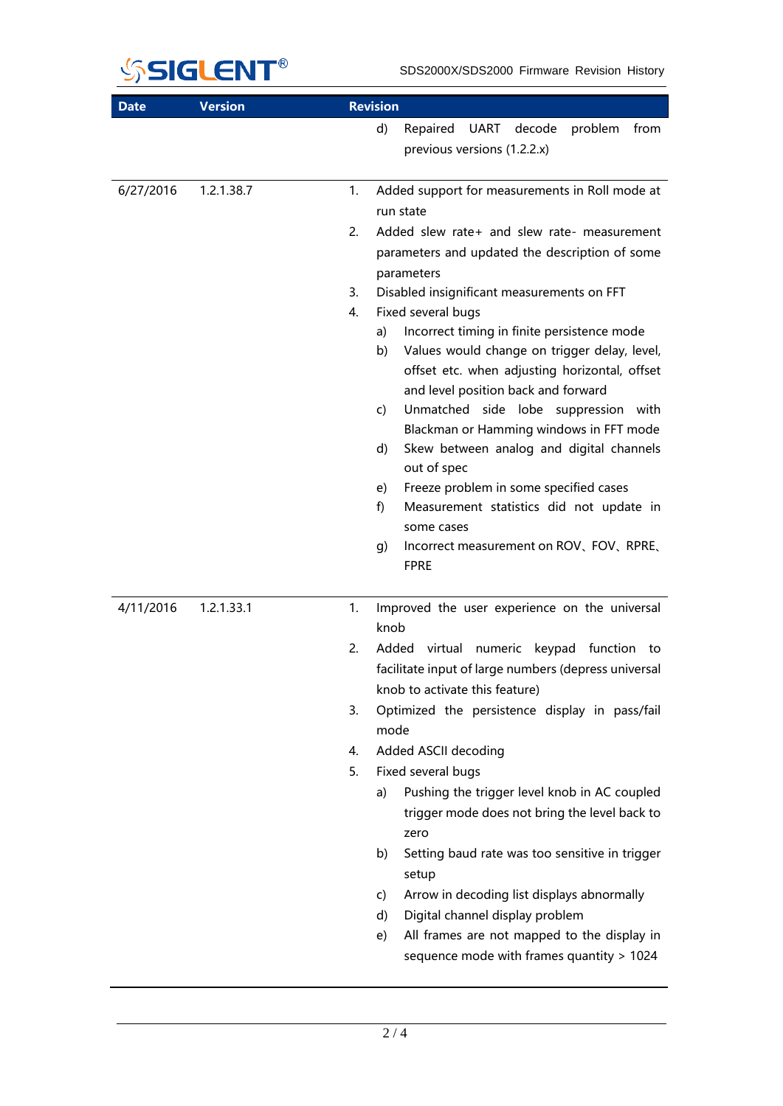

| <b>Date</b> | <b>Version</b> | <b>Revision</b>                                                                                                                                                                                                                                                                                                                                                                                                                                                                                                                                                                                                                                                                                                  |
|-------------|----------------|------------------------------------------------------------------------------------------------------------------------------------------------------------------------------------------------------------------------------------------------------------------------------------------------------------------------------------------------------------------------------------------------------------------------------------------------------------------------------------------------------------------------------------------------------------------------------------------------------------------------------------------------------------------------------------------------------------------|
|             |                | d)<br>UART decode<br>Repaired<br>problem<br>from<br>previous versions (1.2.2.x)                                                                                                                                                                                                                                                                                                                                                                                                                                                                                                                                                                                                                                  |
| 6/27/2016   | 1.2.1.38.7     | Added support for measurements in Roll mode at<br>1.<br>run state<br>2.<br>Added slew rate+ and slew rate- measurement<br>parameters and updated the description of some<br>parameters<br>Disabled insignificant measurements on FFT<br>3.<br>Fixed several bugs<br>4.<br>Incorrect timing in finite persistence mode<br>a)<br>Values would change on trigger delay, level,<br>b)<br>offset etc. when adjusting horizontal, offset                                                                                                                                                                                                                                                                               |
|             |                | and level position back and forward<br>Unmatched<br>side lobe suppression with<br>c)<br>Blackman or Hamming windows in FFT mode<br>Skew between analog and digital channels<br>d)<br>out of spec<br>Freeze problem in some specified cases<br>e)<br>f)<br>Measurement statistics did not update in<br>some cases<br>Incorrect measurement on ROV, FOV, RPRE,<br>g)<br><b>FPRE</b>                                                                                                                                                                                                                                                                                                                                |
| 4/11/2016   | 1.2.1.33.1     | 1.<br>Improved the user experience on the universal<br>knob<br>2.<br>Added virtual numeric keypad function to<br>facilitate input of large numbers (depress universal<br>knob to activate this feature)<br>Optimized the persistence display in pass/fail<br>3.<br>mode<br>Added ASCII decoding<br>4.<br>Fixed several bugs<br>5.<br>Pushing the trigger level knob in AC coupled<br>a)<br>trigger mode does not bring the level back to<br>zero<br>Setting baud rate was too sensitive in trigger<br>b)<br>setup<br>Arrow in decoding list displays abnormally<br>C)<br>Digital channel display problem<br>d)<br>All frames are not mapped to the display in<br>e)<br>sequence mode with frames quantity > 1024 |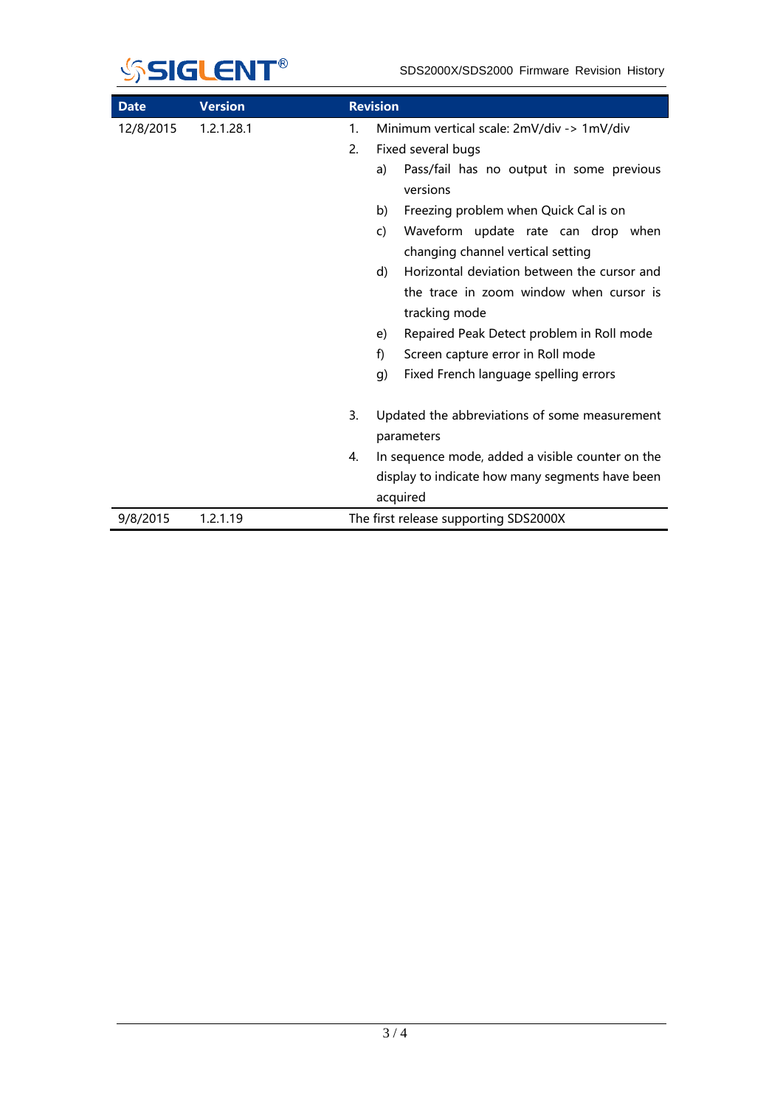

| <b>Date</b> | <b>Version</b> |                  | <b>Revision</b>                                            |
|-------------|----------------|------------------|------------------------------------------------------------|
| 12/8/2015   | 1.2.1.28.1     | 1.               | Minimum vertical scale: 2mV/div -> 1mV/div                 |
|             |                | 2.               | Fixed several bugs                                         |
|             |                |                  | Pass/fail has no output in some previous<br>a)<br>versions |
|             |                |                  | Freezing problem when Quick Cal is on<br>b)                |
|             |                |                  | Waveform update rate can drop when<br>C)                   |
|             |                |                  | changing channel vertical setting                          |
|             |                |                  | Horizontal deviation between the cursor and<br>d)          |
|             |                |                  | the trace in zoom window when cursor is                    |
|             |                |                  | tracking mode                                              |
|             |                |                  | Repaired Peak Detect problem in Roll mode<br>e)            |
|             |                |                  | f)<br>Screen capture error in Roll mode                    |
|             |                |                  | Fixed French language spelling errors<br>g)                |
|             |                |                  |                                                            |
|             |                | $\overline{3}$ . | Updated the abbreviations of some measurement              |
|             |                |                  | parameters                                                 |
|             |                | 4.               | In sequence mode, added a visible counter on the           |
|             |                |                  | display to indicate how many segments have been            |
|             |                |                  | acquired                                                   |
| 9/8/2015    | 1.2.1.19       |                  | The first release supporting SDS2000X                      |